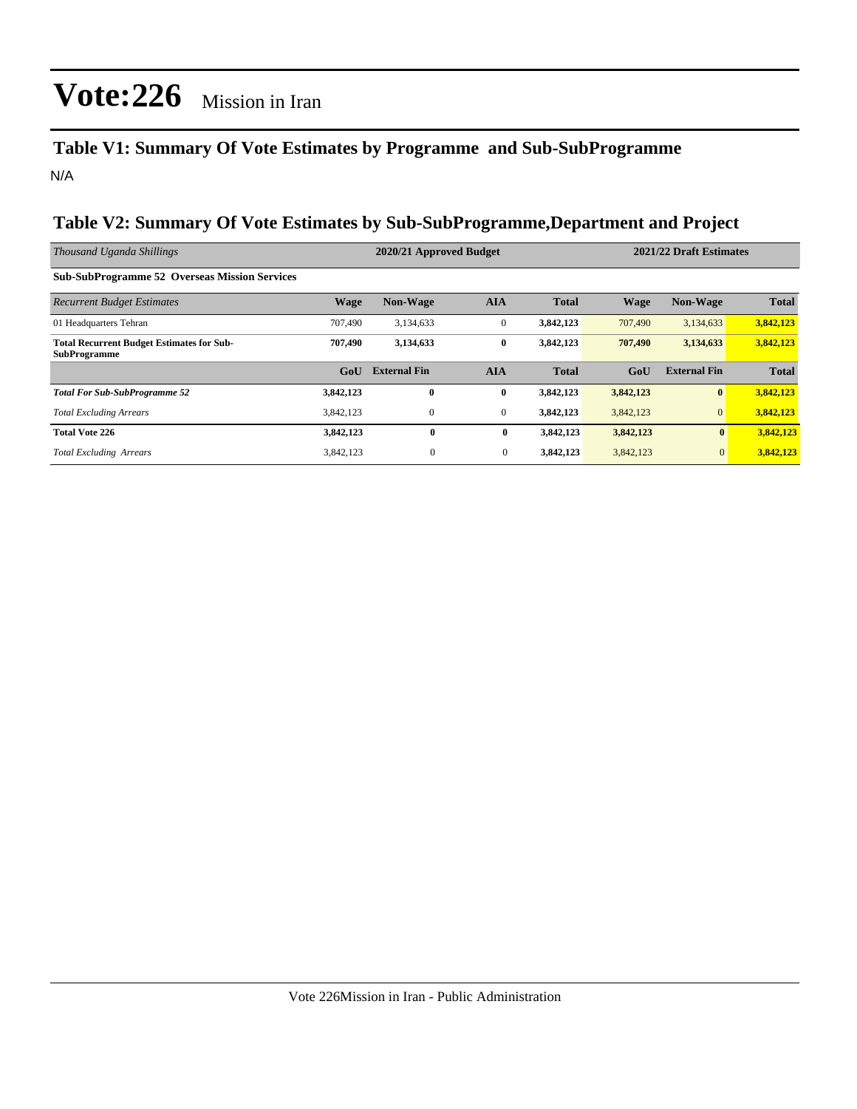### **Table V1: Summary Of Vote Estimates by Programme and Sub-SubProgramme** N/A

#### **Table V2: Summary Of Vote Estimates by Sub-SubProgramme,Department and Project**

| Thousand Uganda Shillings                                               |                  | 2020/21 Approved Budget |              |              | 2021/22 Draft Estimates |                     |              |  |
|-------------------------------------------------------------------------|------------------|-------------------------|--------------|--------------|-------------------------|---------------------|--------------|--|
| <b>Sub-SubProgramme 52 Overseas Mission Services</b>                    |                  |                         |              |              |                         |                     |              |  |
| <b>Recurrent Budget Estimates</b>                                       | <b>Wage</b>      | <b>Non-Wage</b>         | <b>AIA</b>   | <b>Total</b> | <b>Wage</b>             | <b>Non-Wage</b>     | <b>Total</b> |  |
| 01 Headquarters Tehran                                                  | 707,490          | 3,134,633               | $\mathbf{0}$ | 3,842,123    | 707,490                 | 3,134,633           | 3,842,123    |  |
| <b>Total Recurrent Budget Estimates for Sub-</b><br><b>SubProgramme</b> | 707,490          | 3,134,633               | $\bf{0}$     | 3,842,123    | 707,490                 | 3,134,633           | 3,842,123    |  |
|                                                                         | G <sub>o</sub> U | <b>External Fin</b>     | <b>AIA</b>   | <b>Total</b> | GoU                     | <b>External Fin</b> | <b>Total</b> |  |
| <b>Total For Sub-SubProgramme 52</b>                                    | 3,842,123        | $\mathbf{0}$            | $\bf{0}$     | 3,842,123    | 3,842,123               | $\bf{0}$            | 3,842,123    |  |
| <b>Total Excluding Arrears</b>                                          | 3,842,123        | $\mathbf{0}$            | $\mathbf{0}$ | 3,842,123    | 3,842,123               | $\mathbf{0}$        | 3,842,123    |  |
| <b>Total Vote 226</b>                                                   | 3,842,123        | $\bf{0}$                | $\bf{0}$     | 3,842,123    | 3,842,123               | $\bf{0}$            | 3,842,123    |  |
| <b>Total Excluding Arrears</b>                                          | 3,842,123        | $\mathbf{0}$            | $\mathbf{0}$ | 3,842,123    | 3,842,123               | $\overline{0}$      | 3,842,123    |  |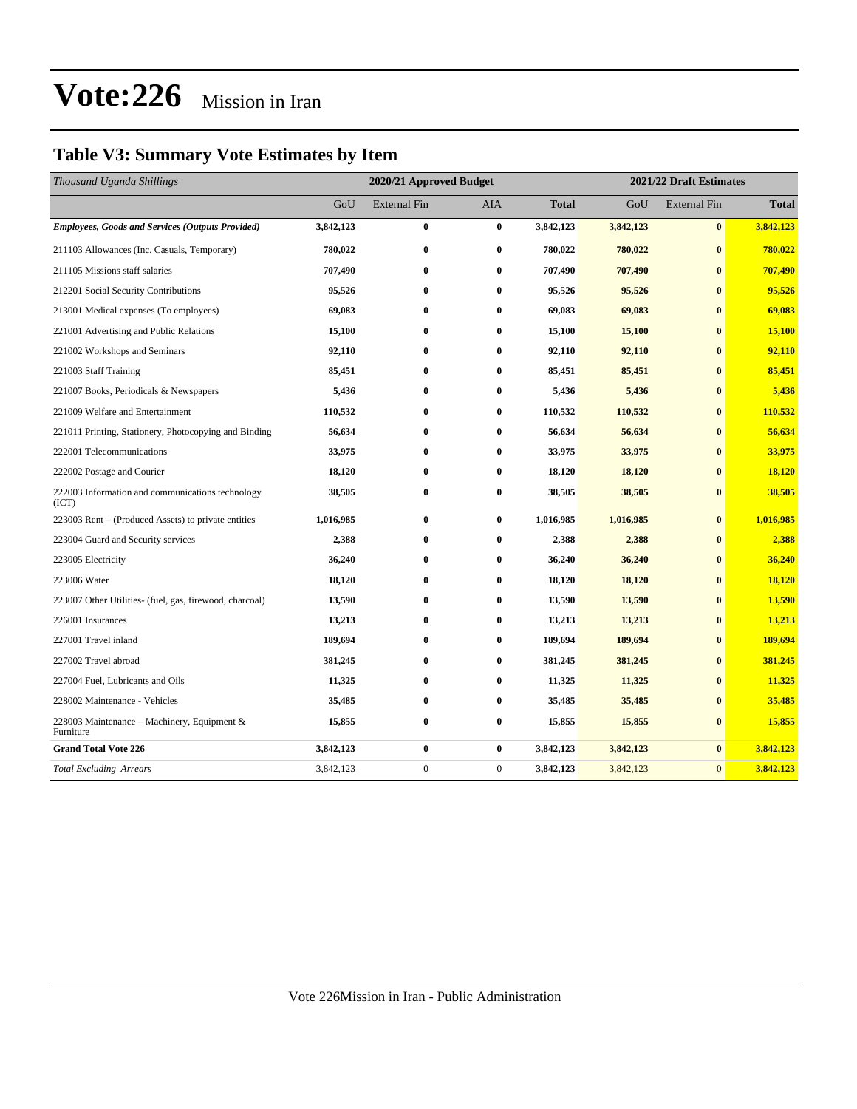### **Table V3: Summary Vote Estimates by Item**

| Thousand Uganda Shillings                                 | 2020/21 Approved Budget |                     |                |              | 2021/22 Draft Estimates |                     |              |  |
|-----------------------------------------------------------|-------------------------|---------------------|----------------|--------------|-------------------------|---------------------|--------------|--|
|                                                           | GoU                     | <b>External Fin</b> | AIA            | <b>Total</b> | GoU                     | <b>External Fin</b> | <b>Total</b> |  |
| <b>Employees, Goods and Services (Outputs Provided)</b>   | 3,842,123               | $\bf{0}$            | $\bf{0}$       | 3,842,123    | 3,842,123               | $\bf{0}$            | 3,842,123    |  |
| 211103 Allowances (Inc. Casuals, Temporary)               | 780,022                 | $\bf{0}$            | $\bf{0}$       | 780,022      | 780,022                 | $\bf{0}$            | 780,022      |  |
| 211105 Missions staff salaries                            | 707,490                 | $\bf{0}$            | $\bf{0}$       | 707,490      | 707,490                 | $\mathbf{0}$        | 707,490      |  |
| 212201 Social Security Contributions                      | 95,526                  | $\bf{0}$            | $\bf{0}$       | 95,526       | 95,526                  | $\bf{0}$            | 95,526       |  |
| 213001 Medical expenses (To employees)                    | 69,083                  | $\bf{0}$            | $\bf{0}$       | 69,083       | 69,083                  | $\mathbf{0}$        | 69,083       |  |
| 221001 Advertising and Public Relations                   | 15,100                  | $\bf{0}$            | $\bf{0}$       | 15,100       | 15,100                  | $\mathbf{0}$        | 15,100       |  |
| 221002 Workshops and Seminars                             | 92,110                  | $\bf{0}$            | $\bf{0}$       | 92,110       | 92,110                  | $\mathbf{0}$        | 92,110       |  |
| 221003 Staff Training                                     | 85,451                  | $\bf{0}$            | $\bf{0}$       | 85,451       | 85,451                  | $\mathbf{0}$        | 85,451       |  |
| 221007 Books, Periodicals & Newspapers                    | 5,436                   | $\bf{0}$            | $\bf{0}$       | 5,436        | 5,436                   | $\mathbf{0}$        | 5,436        |  |
| 221009 Welfare and Entertainment                          | 110,532                 | $\bf{0}$            | $\bf{0}$       | 110,532      | 110,532                 | $\mathbf{0}$        | 110,532      |  |
| 221011 Printing, Stationery, Photocopying and Binding     | 56,634                  | $\bf{0}$            | $\bf{0}$       | 56,634       | 56,634                  | $\bf{0}$            | 56,634       |  |
| 222001 Telecommunications                                 | 33,975                  | $\bf{0}$            | $\bf{0}$       | 33,975       | 33,975                  | $\mathbf{0}$        | 33,975       |  |
| 222002 Postage and Courier                                | 18,120                  | $\bf{0}$            | $\bf{0}$       | 18,120       | 18,120                  | $\bf{0}$            | 18,120       |  |
| 222003 Information and communications technology<br>(ICT) | 38,505                  | $\bf{0}$            | $\bf{0}$       | 38,505       | 38,505                  | $\bf{0}$            | 38,505       |  |
| 223003 Rent – (Produced Assets) to private entities       | 1,016,985               | $\bf{0}$            | $\bf{0}$       | 1,016,985    | 1,016,985               | $\bf{0}$            | 1,016,985    |  |
| 223004 Guard and Security services                        | 2,388                   | $\bf{0}$            | $\bf{0}$       | 2,388        | 2,388                   | $\mathbf{0}$        | 2,388        |  |
| 223005 Electricity                                        | 36,240                  | $\bf{0}$            | $\bf{0}$       | 36,240       | 36,240                  | $\bf{0}$            | 36,240       |  |
| 223006 Water                                              | 18,120                  | $\bf{0}$            | $\bf{0}$       | 18,120       | 18,120                  | $\mathbf{0}$        | 18,120       |  |
| 223007 Other Utilities- (fuel, gas, firewood, charcoal)   | 13,590                  | $\bf{0}$            | $\bf{0}$       | 13,590       | 13,590                  | $\mathbf{0}$        | 13,590       |  |
| 226001 Insurances                                         | 13,213                  | $\bf{0}$            | $\bf{0}$       | 13,213       | 13,213                  | $\bf{0}$            | 13,213       |  |
| 227001 Travel inland                                      | 189,694                 | $\bf{0}$            | $\bf{0}$       | 189,694      | 189,694                 | $\bf{0}$            | 189,694      |  |
| 227002 Travel abroad                                      | 381,245                 | $\bf{0}$            | $\bf{0}$       | 381,245      | 381,245                 | $\bf{0}$            | 381,245      |  |
| 227004 Fuel, Lubricants and Oils                          | 11,325                  | $\bf{0}$            | $\bf{0}$       | 11,325       | 11,325                  | $\mathbf{0}$        | 11,325       |  |
| 228002 Maintenance - Vehicles                             | 35,485                  | $\bf{0}$            | $\bf{0}$       | 35,485       | 35,485                  | $\bf{0}$            | 35,485       |  |
| 228003 Maintenance – Machinery, Equipment &<br>Furniture  | 15,855                  | $\bf{0}$            | $\bf{0}$       | 15,855       | 15,855                  | $\bf{0}$            | 15,855       |  |
| <b>Grand Total Vote 226</b>                               | 3,842,123               | $\bf{0}$            | $\bf{0}$       | 3,842,123    | 3,842,123               | $\bf{0}$            | 3,842,123    |  |
| <b>Total Excluding Arrears</b>                            | 3,842,123               | $\boldsymbol{0}$    | $\overline{0}$ | 3,842,123    | 3,842,123               | $\overline{0}$      | 3,842,123    |  |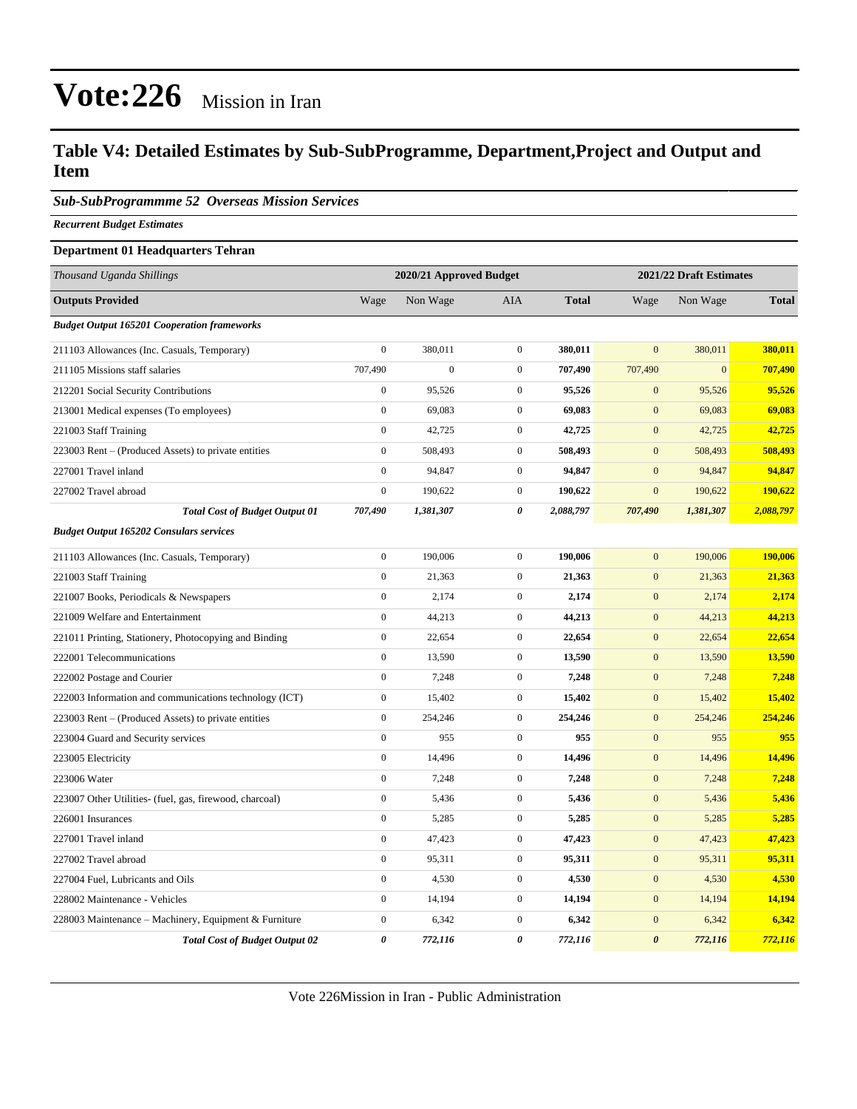#### **Table V4: Detailed Estimates by Sub-SubProgramme, Department,Project and Output and Item**

*Sub-SubProgrammme 52 Overseas Mission Services*

*Recurrent Budget Estimates*

#### **Department 01 Headquarters Tehran**

| Thousand Uganda Shillings                               | 2020/21 Approved Budget |                |                  |              | 2021/22 Draft Estimates |                |              |
|---------------------------------------------------------|-------------------------|----------------|------------------|--------------|-------------------------|----------------|--------------|
| <b>Outputs Provided</b>                                 | Wage                    | Non Wage       | <b>AIA</b>       | <b>Total</b> | Wage                    | Non Wage       | <b>Total</b> |
| <b>Budget Output 165201 Cooperation frameworks</b>      |                         |                |                  |              |                         |                |              |
| 211103 Allowances (Inc. Casuals, Temporary)             | $\mathbf{0}$            | 380,011        | $\boldsymbol{0}$ | 380,011      | $\overline{0}$          | 380,011        | 380,011      |
| 211105 Missions staff salaries                          | 707,490                 | $\overline{0}$ | $\boldsymbol{0}$ | 707,490      | 707,490                 | $\overline{0}$ | 707,490      |
| 212201 Social Security Contributions                    | $\mathbf{0}$            | 95,526         | $\boldsymbol{0}$ | 95,526       | $\mathbf{0}$            | 95,526         | 95,526       |
| 213001 Medical expenses (To employees)                  | $\boldsymbol{0}$        | 69,083         | $\boldsymbol{0}$ | 69,083       | $\boldsymbol{0}$        | 69,083         | 69,083       |
| 221003 Staff Training                                   | $\boldsymbol{0}$        | 42,725         | $\mathbf{0}$     | 42,725       | $\mathbf{0}$            | 42,725         | 42,725       |
| 223003 Rent – (Produced Assets) to private entities     | $\boldsymbol{0}$        | 508,493        | $\boldsymbol{0}$ | 508,493      | $\mathbf{0}$            | 508,493        | 508,493      |
| 227001 Travel inland                                    | $\mathbf{0}$            | 94,847         | $\boldsymbol{0}$ | 94,847       | $\mathbf{0}$            | 94,847         | 94,847       |
| 227002 Travel abroad                                    | $\mathbf{0}$            | 190,622        | $\mathbf{0}$     | 190,622      | $\mathbf{0}$            | 190,622        | 190,622      |
| <b>Total Cost of Budget Output 01</b>                   | 707,490                 | 1,381,307      | 0                | 2,088,797    | 707,490                 | 1,381,307      | 2,088,797    |
| <b>Budget Output 165202 Consulars services</b>          |                         |                |                  |              |                         |                |              |
| 211103 Allowances (Inc. Casuals, Temporary)             | $\boldsymbol{0}$        | 190,006        | $\mathbf{0}$     | 190,006      | $\mathbf{0}$            | 190,006        | 190,006      |
| 221003 Staff Training                                   | $\boldsymbol{0}$        | 21,363         | $\mathbf{0}$     | 21,363       | $\mathbf{0}$            | 21,363         | 21,363       |
| 221007 Books, Periodicals & Newspapers                  | $\boldsymbol{0}$        | 2,174          | $\mathbf{0}$     | 2,174        | $\mathbf{0}$            | 2,174          | 2,174        |
| 221009 Welfare and Entertainment                        | $\boldsymbol{0}$        | 44,213         | $\boldsymbol{0}$ | 44,213       | $\mathbf{0}$            | 44,213         | 44,213       |
| 221011 Printing, Stationery, Photocopying and Binding   | $\mathbf{0}$            | 22,654         | $\boldsymbol{0}$ | 22,654       | $\mathbf{0}$            | 22,654         | 22,654       |
| 222001 Telecommunications                               | $\overline{0}$          | 13,590         | $\boldsymbol{0}$ | 13,590       | $\boldsymbol{0}$        | 13,590         | 13,590       |
| 222002 Postage and Courier                              | $\boldsymbol{0}$        | 7,248          | $\mathbf{0}$     | 7,248        | $\mathbf{0}$            | 7,248          | 7,248        |
| 222003 Information and communications technology (ICT)  | $\boldsymbol{0}$        | 15,402         | $\mathbf{0}$     | 15,402       | $\mathbf{0}$            | 15,402         | 15,402       |
| 223003 Rent – (Produced Assets) to private entities     | $\boldsymbol{0}$        | 254,246        | $\boldsymbol{0}$ | 254,246      | $\mathbf{0}$            | 254,246        | 254,246      |
| 223004 Guard and Security services                      | $\mathbf{0}$            | 955            | $\boldsymbol{0}$ | 955          | $\mathbf{0}$            | 955            | 955          |
| 223005 Electricity                                      | $\boldsymbol{0}$        | 14,496         | $\boldsymbol{0}$ | 14,496       | $\mathbf{0}$            | 14,496         | 14,496       |
| 223006 Water                                            | $\mathbf{0}$            | 7,248          | $\mathbf{0}$     | 7,248        | $\boldsymbol{0}$        | 7,248          | 7,248        |
| 223007 Other Utilities- (fuel, gas, firewood, charcoal) | $\boldsymbol{0}$        | 5,436          | $\boldsymbol{0}$ | 5,436        | $\mathbf{0}$            | 5,436          | 5,436        |
| 226001 Insurances                                       | $\boldsymbol{0}$        | 5,285          | $\boldsymbol{0}$ | 5,285        | $\mathbf{0}$            | 5,285          | 5,285        |
| 227001 Travel inland                                    | $\boldsymbol{0}$        | 47,423         | $\boldsymbol{0}$ | 47,423       | $\mathbf{0}$            | 47,423         | 47,423       |
| 227002 Travel abroad                                    | $\mathbf{0}$            | 95,311         | $\mathbf{0}$     | 95,311       | $\mathbf{0}$            | 95,311         | 95,311       |
| 227004 Fuel, Lubricants and Oils                        | $\mathbf{0}$            | 4,530          | $\boldsymbol{0}$ | 4,530        | $\mathbf{0}$            | 4,530          | 4,530        |
| 228002 Maintenance - Vehicles                           | $\overline{0}$          | 14,194         | $\mathbf{0}$     | 14,194       | $\overline{0}$          | 14,194         | 14,194       |
| 228003 Maintenance – Machinery, Equipment & Furniture   | $\boldsymbol{0}$        | 6,342          | $\boldsymbol{0}$ | 6,342        | $\boldsymbol{0}$        | 6,342          | 6,342        |
| <b>Total Cost of Budget Output 02</b>                   | $\pmb{\theta}$          | 772,116        | 0                | 772,116      | $\boldsymbol{\theta}$   | 772,116        | 772,116      |

Vote 226Mission in Iran - Public Administration